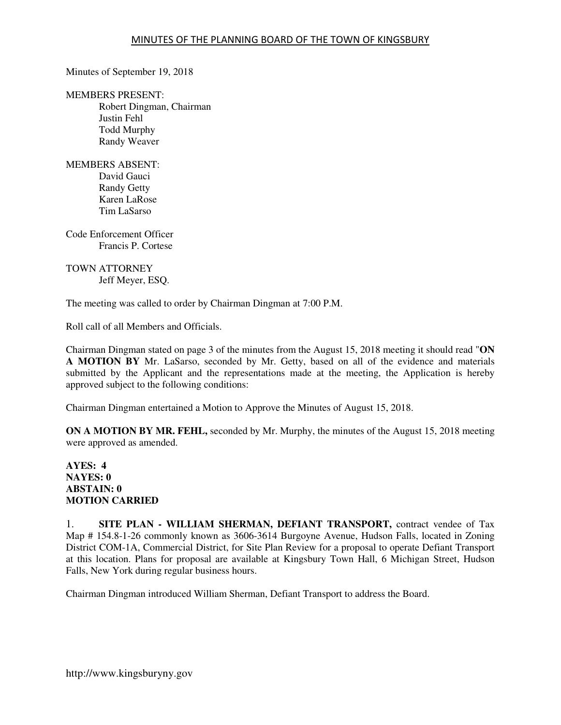Minutes of September 19, 2018

MEMBERS PRESENT:

Robert Dingman, Chairman Justin Fehl Todd Murphy Randy Weaver

MEMBERS ABSENT: David Gauci Randy Getty Karen LaRose Tim LaSarso

Code Enforcement Officer Francis P. Cortese

### TOWN ATTORNEY Jeff Meyer, ESQ.

The meeting was called to order by Chairman Dingman at 7:00 P.M.

Roll call of all Members and Officials.

Chairman Dingman stated on page 3 of the minutes from the August 15, 2018 meeting it should read "**ON A MOTION BY** Mr. LaSarso, seconded by Mr. Getty, based on all of the evidence and materials submitted by the Applicant and the representations made at the meeting, the Application is hereby approved subject to the following conditions:

Chairman Dingman entertained a Motion to Approve the Minutes of August 15, 2018.

**ON A MOTION BY MR. FEHL,** seconded by Mr. Murphy, the minutes of the August 15, 2018 meeting were approved as amended.

### **AYES: 4 NAYES: 0 ABSTAIN: 0 MOTION CARRIED**

1. **SITE PLAN - WILLIAM SHERMAN, DEFIANT TRANSPORT,** contract vendee of Tax Map # 154.8-1-26 commonly known as 3606-3614 Burgoyne Avenue, Hudson Falls, located in Zoning District COM-1A, Commercial District, for Site Plan Review for a proposal to operate Defiant Transport at this location. Plans for proposal are available at Kingsbury Town Hall, 6 Michigan Street, Hudson Falls, New York during regular business hours.

Chairman Dingman introduced William Sherman, Defiant Transport to address the Board.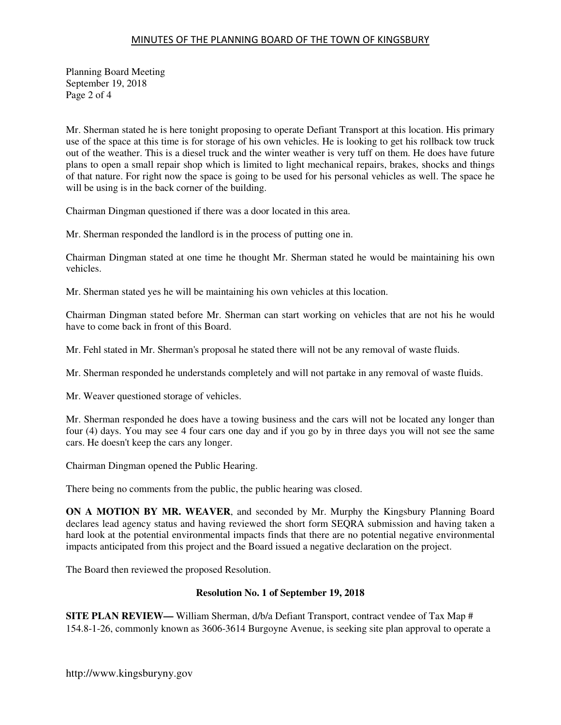# MINUTES OF THE PLANNING BOARD OF THE TOWN OF KINGSBURY

Planning Board Meeting September 19, 2018 Page 2 of 4

Mr. Sherman stated he is here tonight proposing to operate Defiant Transport at this location. His primary use of the space at this time is for storage of his own vehicles. He is looking to get his rollback tow truck out of the weather. This is a diesel truck and the winter weather is very tuff on them. He does have future plans to open a small repair shop which is limited to light mechanical repairs, brakes, shocks and things of that nature. For right now the space is going to be used for his personal vehicles as well. The space he will be using is in the back corner of the building.

Chairman Dingman questioned if there was a door located in this area.

Mr. Sherman responded the landlord is in the process of putting one in.

Chairman Dingman stated at one time he thought Mr. Sherman stated he would be maintaining his own vehicles.

Mr. Sherman stated yes he will be maintaining his own vehicles at this location.

Chairman Dingman stated before Mr. Sherman can start working on vehicles that are not his he would have to come back in front of this Board.

Mr. Fehl stated in Mr. Sherman's proposal he stated there will not be any removal of waste fluids.

Mr. Sherman responded he understands completely and will not partake in any removal of waste fluids.

Mr. Weaver questioned storage of vehicles.

Mr. Sherman responded he does have a towing business and the cars will not be located any longer than four (4) days. You may see 4 four cars one day and if you go by in three days you will not see the same cars. He doesn't keep the cars any longer.

Chairman Dingman opened the Public Hearing.

There being no comments from the public, the public hearing was closed.

**ON A MOTION BY MR. WEAVER**, and seconded by Mr. Murphy the Kingsbury Planning Board declares lead agency status and having reviewed the short form SEQRA submission and having taken a hard look at the potential environmental impacts finds that there are no potential negative environmental impacts anticipated from this project and the Board issued a negative declaration on the project.

The Board then reviewed the proposed Resolution.

#### **Resolution No. 1 of September 19, 2018**

**SITE PLAN REVIEW—** William Sherman, d/b/a Defiant Transport, contract vendee of Tax Map # 154.8-1-26, commonly known as 3606-3614 Burgoyne Avenue, is seeking site plan approval to operate a

http://www.kingsburyny.gov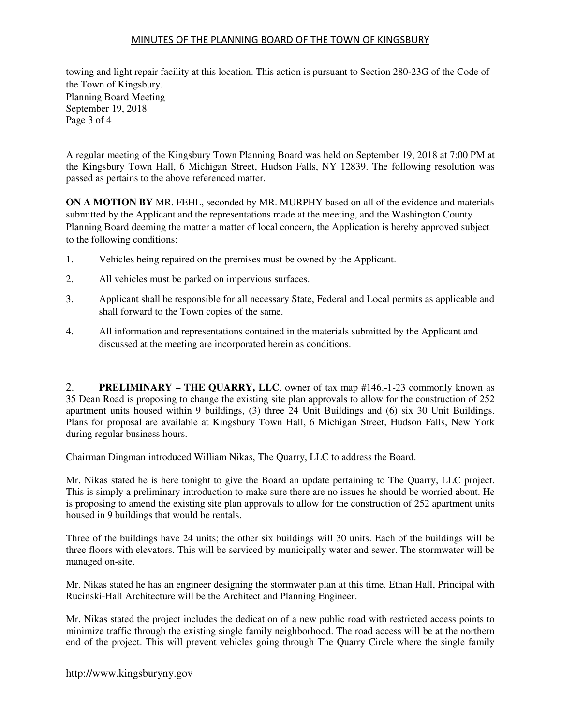# MINUTES OF THE PLANNING BOARD OF THE TOWN OF KINGSBURY

towing and light repair facility at this location. This action is pursuant to Section 280-23G of the Code of the Town of Kingsbury. Planning Board Meeting September 19, 2018 Page 3 of 4

A regular meeting of the Kingsbury Town Planning Board was held on September 19, 2018 at 7:00 PM at the Kingsbury Town Hall, 6 Michigan Street, Hudson Falls, NY 12839. The following resolution was passed as pertains to the above referenced matter.

**ON A MOTION BY** MR. FEHL, seconded by MR. MURPHY based on all of the evidence and materials submitted by the Applicant and the representations made at the meeting, and the Washington County Planning Board deeming the matter a matter of local concern, the Application is hereby approved subject to the following conditions:

- 1. Vehicles being repaired on the premises must be owned by the Applicant.
- 2. All vehicles must be parked on impervious surfaces.
- 3. Applicant shall be responsible for all necessary State, Federal and Local permits as applicable and shall forward to the Town copies of the same.
- 4. All information and representations contained in the materials submitted by the Applicant and discussed at the meeting are incorporated herein as conditions.

2. **PRELIMINARY – THE QUARRY, LLC**, owner of tax map #146.-1-23 commonly known as 35 Dean Road is proposing to change the existing site plan approvals to allow for the construction of 252 apartment units housed within 9 buildings, (3) three 24 Unit Buildings and (6) six 30 Unit Buildings. Plans for proposal are available at Kingsbury Town Hall, 6 Michigan Street, Hudson Falls, New York during regular business hours.

Chairman Dingman introduced William Nikas, The Quarry, LLC to address the Board.

Mr. Nikas stated he is here tonight to give the Board an update pertaining to The Quarry, LLC project. This is simply a preliminary introduction to make sure there are no issues he should be worried about. He is proposing to amend the existing site plan approvals to allow for the construction of 252 apartment units housed in 9 buildings that would be rentals.

Three of the buildings have 24 units; the other six buildings will 30 units. Each of the buildings will be three floors with elevators. This will be serviced by municipally water and sewer. The stormwater will be managed on-site.

Mr. Nikas stated he has an engineer designing the stormwater plan at this time. Ethan Hall, Principal with Rucinski-Hall Architecture will be the Architect and Planning Engineer.

Mr. Nikas stated the project includes the dedication of a new public road with restricted access points to minimize traffic through the existing single family neighborhood. The road access will be at the northern end of the project. This will prevent vehicles going through The Quarry Circle where the single family